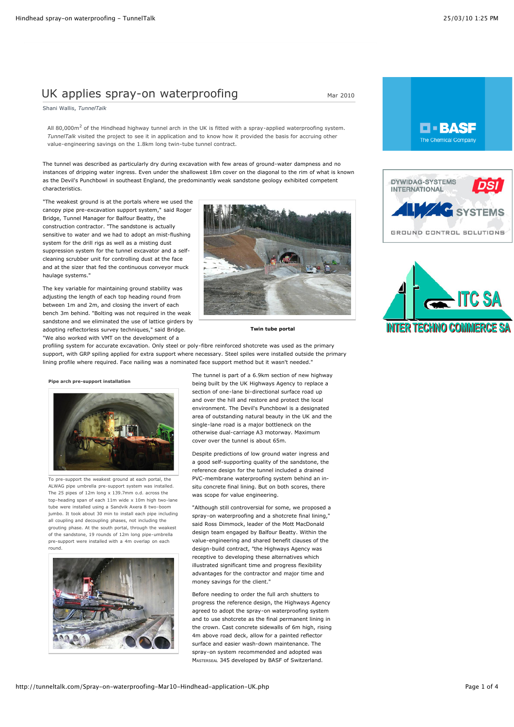# UK applies spray-on waterproofing  $M_{\text{Mar 2010}}$

Shani Wallis, *TunnelTalk*

All 80,000 $m<sup>2</sup>$  of the Hindhead highway tunnel arch in the UK is fitted with a spray-applied waterproofing system. *TunnelTalk* visited the project to see it in application and to know how it provided the basis for accruing other value-engineering savings on the 1.8km long twin-tube tunnel contract.

The tunnel was described as particularly dry during excavation with few areas of ground-water dampness and no instances of dripping water ingress. Even under the shallowest 18m cover on the diagonal to the rim of what is known as the Devil's Punchbowl in southeast England, the predominantly weak sandstone geology exhibited competent characteristics.

"The weakest ground is at the portals where we used the canopy pipe pre-excavation support system," said Roger Bridge, Tunnel Manager for Balfour Beatty, the construction contractor. "The sandstone is actually sensitive to water and we had to adopt an mist-flushing system for the drill rigs as well as a misting dust suppression system for the tunnel excavator and a selfcleaning scrubber unit for controlling dust at the face and at the sizer that fed the continuous conveyor muck haulage systems."

The key variable for maintaining ground stability was adjusting the length of each top heading round from between 1m and 2m, and closing the invert of each bench 3m behind. "Bolting was not required in the weak sandstone and we eliminated the use of lattice girders by adopting reflectorless survey techniques," said Bridge. "We also worked with VMT on the development of a



**Twin tube portal**

profiling system for accurate excavation. Only steel or poly-fibre reinforced shotcrete was used as the primary support, with GRP spiling applied for extra support where necessary. Steel spiles were installed outside the primary lining profile where required. Face nailing was a nominated face support method but it wasn't needed."

**Pipe arch pre-support installation**



To pre-support the weakest ground at each portal, the ALWAG pipe umbrella pre-support system was installed. The 25 pipes of 12m long x 139.7mm o.d. across the top-heading span of each 11m wide x 10m high two-lane tube were installed using a Sandvik Axera 8 two-boom jumbo. It took about 30 min to install each pipe including all coupling and decoupling phases, not including the grouting phase. At the south portal, through the weakest of the sandstone, 19 rounds of 12m long pipe-umbrella pre-support were installed with a 4m overlap on each round.



The tunnel is part of a 6.9km section of new highway being built by the UK Highways Agency to replace a section of one-lane bi-directional surface road up and over the hill and restore and protect the local environment. The Devil's Punchbowl is a designated area of outstanding natural beauty in the UK and the single-lane road is a major bottleneck on the otherwise dual-carriage A3 motorway. Maximum cover over the tunnel is about 65m.

Despite predictions of low ground water ingress and a good self-supporting quality of the sandstone, the reference design for the tunnel included a drained PVC-membrane waterproofing system behind an insitu concrete final lining. But on both scores, there was scope for value engineering.

"Although still controversial for some, we proposed a spray-on waterproofing and a shotcrete final lining," said Ross Dimmock, leader of the Mott MacDonald design team engaged by Balfour Beatty. Within the value-engineering and shared benefit clauses of the design-build contract, "the Highways Agency was receptive to developing these alternatives which illustrated significant time and progress flexibility advantages for the contractor and major time and money savings for the client.'

Before needing to order the full arch shutters to progress the reference design, the Highways Agency agreed to adopt the spray-on waterproofing system and to use shotcrete as the final permanent lining in the crown. Cast concrete sidewalls of 6m high, rising 4m above road deck, allow for a painted reflector surface and easier wash-down maintenance. The spray-on system recommended and adopted was MASTERSEAL 345 developed by BASF of Switzerland.





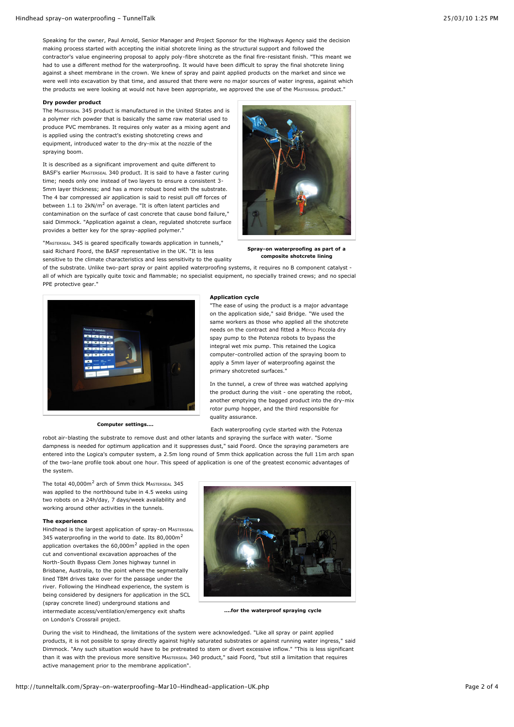Speaking for the owner, Paul Arnold, Senior Manager and Project Sponsor for the Highways Agency said the decision making process started with accepting the initial shotcrete lining as the structural support and followed the contractor's value engineering proposal to apply poly-fibre shotcrete as the final fire-resistant finish. "This meant we had to use a different method for the waterproofing. It would have been difficult to spray the final shotcrete lining against a sheet membrane in the crown. We knew of spray and paint applied products on the market and since we were well into excavation by that time, and assured that there were no major sources of water ingress, against which the products we were looking at would not have been appropriate, we approved the use of the MASTERSEAL product."

#### **Dry powder product**

The MASTERSEAL 345 product is manufactured in the United States and is a polymer rich powder that is basically the same raw material used to produce PVC membranes. It requires only water as a mixing agent and is applied using the contract's existing shotcreting crews and equipment, introduced water to the dry-mix at the nozzle of the spraying boom.

It is described as a significant improvement and quite different to BASF's earlier MASTERSEAL 340 product. It is said to have a faster curing time; needs only one instead of two layers to ensure a consistent 3- 5mm layer thickness; and has a more robust bond with the substrate. The 4 bar compressed air application is said to resist pull off forces of between  $1.1$  to  $2kN/m^2$  on average. "It is often latent particles and contamination on the surface of cast concrete that cause bond failure," said Dimmock. "Application against a clean, regulated shotcrete surface provides a better key for the spray-applied polymer."

"MASTERSEAL 345 is geared specifically towards application in tunnels," said Richard Foord, the BASF representative in the UK. "It is less sensitive to the climate characteristics and less sensitivity to the quality **Spray-on waterproofing as part of a**

**composite shotcrete lining**

of the substrate. Unlike two-part spray or paint applied waterproofing systems, it requires no B component catalyst all of which are typically quite toxic and flammable; no specialist equipment, no specially trained crews; and no special PPE protective gear."



**Computer settings....**

### **Application cycle**

"The ease of using the product is a major advantage on the application side," said Bridge. "We used the same workers as those who applied all the shotcrete needs on the contract and fitted a Meyco Piccola dry spay pump to the Potenza robots to bypass the integral wet mix pump. This retained the Logica computer-controlled action of the spraying boom to apply a 5mm layer of waterproofing against the primary shotcreted surfaces."

In the tunnel, a crew of three was watched applying the product during the visit - one operating the robot, another emptying the bagged product into the dry-mix rotor pump hopper, and the third responsible for quality assurance.

Each waterproofing cycle started with the Potenza

robot air-blasting the substrate to remove dust and other latants and spraying the surface with water. "Some dampness is needed for optimum application and it suppresses dust," said Foord. Once the spraying parameters are entered into the Logica's computer system, a 2.5m long round of 5mm thick application across the full 11m arch span of the two-lane profile took about one hour. This speed of application is one of the greatest economic advantages of the system.

The total 40,000m<sup>2</sup> arch of 5mm thick MASTERSEAL 345 was applied to the northbound tube in 4.5 weeks using two robots on a 24h/day, 7 days/week availability and working around other activities in the tunnels.

#### **The experience**

Hindhead is the largest application of spray-on MASTERSEAL 345 waterproofing in the world to date. Its 80,000m<sup>2</sup> application overtakes the  $60,000$ m<sup>2</sup> applied in the open cut and conventional excavation approaches of the North-South Bypass Clem Jones highway tunnel in Brisbane, Australia, to the point where the segmentally lined TBM drives take over for the passage under the river. Following the Hindhead experience, the system is being considered by designers for application in the SCL (spray concrete lined) underground stations and intermediate access/ventilation/emergency exit shafts on London's Crossrail project.



**....for the waterproof spraying cycle**

During the visit to Hindhead, the limitations of the system were acknowledged. "Like all spray or paint applied products, it is not possible to spray directly against highly saturated substrates or against running water ingress," said Dimmock. "Any such situation would have to be pretreated to stem or divert excessive inflow." "This is less significant than it was with the previous more sensitive MASTERSEAL 340 product," said Foord, "but still a limitation that requires active management prior to the membrane application".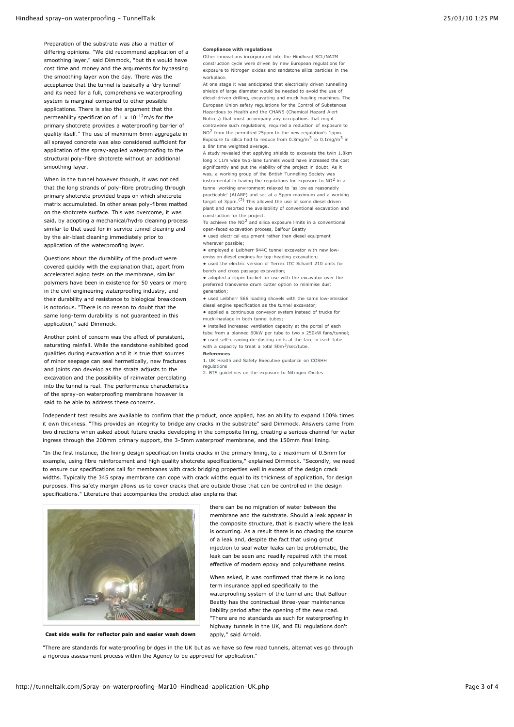Preparation of the substrate was also a matter of differing opinions. "We did recommend application of a smoothing layer," said Dimmock, "but this would have cost time and money and the arguments for bypassing the smoothing layer won the day. There was the acceptance that the tunnel is basically a 'dry tunnel' and its need for a full, comprehensive waterproofing system is marginal compared to other possible applications. There is also the argument that the permeability specification of 1 x  $10^{-12}$ m/s for the primary shotcrete provides a waterproofing barrier of quality itself." The use of maximum 6mm aggregate in all sprayed concrete was also considered sufficient for application of the spray-applied waterproofing to the structural poly-fibre shotcrete without an additional smoothing layer.

When in the tunnel however though, it was noticed that the long strands of poly-fibre protruding through primary shotcrete provided traps on which shotcrete matrix accumulated. In other areas poly-fibres matted on the shotcrete surface. This was overcome, it was said, by adopting a mechanical/hydro cleaning process similar to that used for in-service tunnel cleaning and by the air-blast cleaning immediately prior to application of the waterproofing layer.

Questions about the durability of the product were covered quickly with the explanation that, apart from accelerated aging tests on the membrane, similar polymers have been in existence for 50 years or more in the civil engineering waterproofing industry, and their durability and resistance to biological breakdown is notorious. "There is no reason to doubt that the same long-term durability is not guaranteed in this application," said Dimmock.

Another point of concern was the affect of persistent, saturating rainfall. While the sandstone exhibited good qualities during excavation and it is true that sources of minor seepage can seal hermetically, new fractures and joints can develop as the strata adjusts to the excavation and the possibility of rainwater percolating into the tunnel is real. The performance characteristics of the spray-on waterproofing membrane however is said to be able to address these concerns.

#### **Compliance with regulations**

Other innovations incorporated into the Hindhead SCL/NATM construction cycle were driven by new European regulations for exposure to Nitrogen oxides and sandstone silica particles in the workplace.

At one stage it was anticipated that electrically driven tunnelling shields of large diameter would be needed to avoid the use of diesel-driven drilling, excavating and muck hauling machines. The European Union safety regulations for the Control of Substances Hazardous to Health and the CHANS (Chemical Hazard Alert Notices) that must accompany any occupations that might contravene such regulations, required a reduction of exposure to NO<sup>2</sup> from the permitted 25ppm to the new regulation's 1ppm. Exposure to silica had to reduce from  $0.3 \text{mg/m}^3$  to  $0.1 \text{mg/m}^3$  in a 8hr time weighted average.

A study revealed that applying shields to excavate the twin 1.8km long x 11m wide two-lane tunnels would have increased the cost significantly and put the viability of the project in doubt. As it was, a working group of the British Tunnelling Society was instrumental in having the regulations for exposure to  $NO<sup>2</sup>$  in a tunnel working environment relaxed to 'as low as reasonably practicable' (ALARP) and set at a 5ppm maximum and a working target of 3ppm.(2) This allowed the use of some diesel driven plant and resorted the availability of conventional excavation and construction for the project.

To achieve the  $NO^2$  and silica exposure limits in a conventional open-faced excavation process, Balfour Beatty

- **•** used electrical equipment rather than diesel equipment wherever possible;
- **•** employed a Leibherr 944C tunnel excavator with new lowemission diesel engines for top-heading excavation;
- **•** used the electric version of Terrex ITC Schaeff 210 units for bench and cross passage excavation;

**•** adopted a ripper bucket for use with the excavator over the preferred transverse drum cutter option to minimise dust

- generation;
- **•** used Leibherr 566 loading shovels with the same low-emission diesel engine specification as the tunnel excavator;
- **•** applied a continuous conveyor system instead of trucks for muck-haulage in both tunnel tubes;
- **•** installed increased ventilation capacity at the portal of each tube from a planned 60kW per tube to two x 250kW fans/tunnel; **•** used self-cleaning de-dusting units at the face in each tube with a capacity to treat a total  $50\,\mathrm{m}^3/\mathrm{sec}/\mathrm{tube}$ .
- **References**

[1. UK Health and Safety Executive guidance on COSHH](http://www.hse.gov.uk/COSHH/index.htm) regulations

2. [BTS guidelines on the exposure to Nitrogen Oxides](http://www.britishtunnelling.org.uk/groups_oenm.php)

Independent test results are available to confirm that the product, once applied, has an ability to expand 100% times it own thickness. "This provides an integrity to bridge any cracks in the substrate" said Dimmock. Answers came from two directions when asked about future cracks developing in the composite lining, creating a serious channel for water ingress through the 200mm primary support, the 3-5mm waterproof membrane, and the 150mm final lining.

"In the first instance, the lining design specification limits cracks in the primary lining, to a maximum of 0.5mm for example, using fibre reinforcement and high quality shotcrete specifications," explained Dimmock. "Secondly, we need to ensure our specifications call for membranes with crack bridging properties well in excess of the design crack widths. Typically the 345 spray membrane can cope with crack widths equal to its thickness of application, for design purposes. This safety margin allows us to cover cracks that are outside those that can be controlled in the design specifications." Literature that accompanies the product also explains that



**Cast side walls for reflector pain and easier wash down**

there can be no migration of water between the membrane and the substrate. Should a leak appear in the composite structure, that is exactly where the leak is occurring. As a result there is no chasing the source of a leak and, despite the fact that using grout injection to seal water leaks can be problematic, the leak can be seen and readily repaired with the most effective of modern epoxy and polyurethane resins.

When asked, it was confirmed that there is no long term insurance applied specifically to the waterproofing system of the tunnel and that Balfour Beatty has the contractual three-year maintenance liability period after the opening of the new road. "There are no standards as such for waterproofing in highway tunnels in the UK, and EU regulations don't apply," said Arnold.

"There are standards for waterproofing bridges in the UK but as we have so few road tunnels, alternatives go through a rigorous assessment process within the Agency to be approved for application."